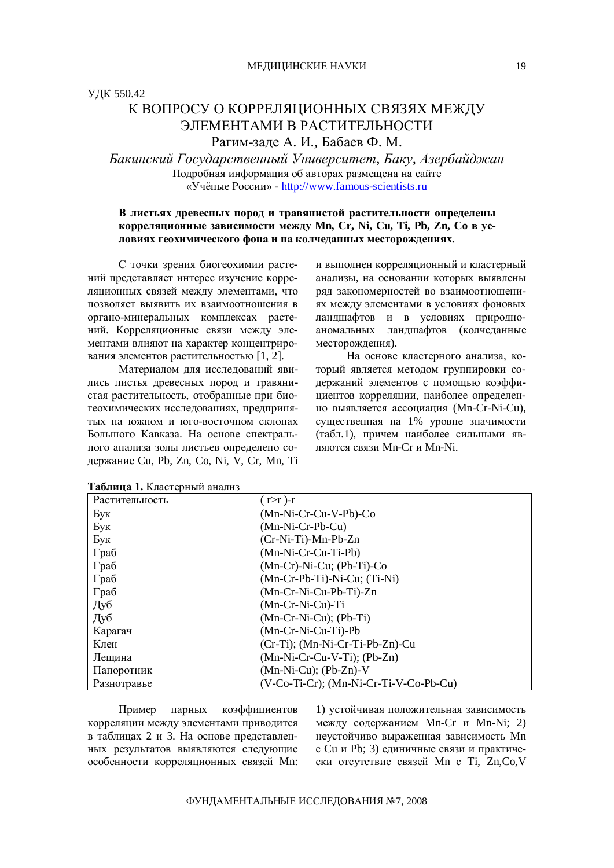# К ВОПРОСУ О КОРРЕЛЯШИОННЫХ СВЯЗЯХ МЕЖДУ ЭЛЕМЕНТАМИ В РАСТИТЕЛЬНОСТИ Рагим-зале А. И., Бабаев Ф. М.

Бакинский Государственный Университет, Баку, Азербайджан Подробная информация об авторах размещена на сайте «Учёные России» - <http://www.famous-scientists.ru>

# В листьях древесных пород и травянистой растительности определены корреляционные зависимости между Mn, Cr, Ni, Cu, Ti, Pb, Zn, Со в условиях геохимического фона и на колчеданных месторождениях.

С точки зрения биогеохимии растений представляет интерес изучение корреляционных связей между элементами. что позволяет выявить их взаимоотношения в органо-минеральных комплексах растений. Корреляционные связи между элементами влияют на характер концентрирования элементов растительностью  $[1, 2]$ .

Материалом для исследований явились листья древесных пород и травянистая растительность, отобранные при биогеохимических исследованиях, предпринятых на южном и юго-восточном склонах Большого Кавказа. На основе спектрального анализа золы листьев определено содержание Cu, Pb, Zn, Co, Ni, V, Cr, Mn, Ti и выполнен корреляционный и кластерный анализы, на основании которых выявлены ряд закономерностей во взаимоотношениах между элементами в условиях фоновых ландшафтов и в условиях природноаномальных ландшафтов (колчеданные месторождения).

На основе кластерного анализа, который является методом группировки содержаний элементов с помошью коэффициентов корреляции, наиболее определенно выявляется ассоциация (Mn-Cr-Ni-Cu), существенная на 1% уровне значимости (табл.1), причем наиболее сильными являются связи Mn-Cr и Mn-Ni.

| Растительность | $(r>r)$ -r                             |
|----------------|----------------------------------------|
| Бук            | $(Mn-Ni-Cr-Cu-V-Pb)-Co$                |
| Бук            | $(Mn-Ni-Cr-Pb-Cu)$                     |
| Бук            | $(Cr-Ni-Ti)$ -Mn-Pb-Zn                 |
| Граб           | (Mn-Ni-Cr-Cu-Ti-Pb)                    |
| Граб           | $(Mn-Cr)$ -Ni-Cu; (Pb-Ti)-Co           |
| Граб           | $(Mn-Cr-Pb-Ti)$ -Ni-Cu; $(Ti-Ni)$      |
| Граб           | $(Mn-Cr-Ni-Cu-Pb-Ti)$ -Zn              |
| Дуб            | $(Mn-Cr-Ni-Cu)$ -Ti                    |
| Дуб            | $(Mn-Cr-Ni-Cu); (Pb-Ti)$               |
| Карагач        | (Mn-Cr-Ni-Cu-Ti)-Pb                    |
| Клен           | $(Cr-Ti)$ ; $(Mn-Ni-Cr-Ti-Pb-Zn)$ -Cu  |
| Лещина         | $(Mn-Ni-Cr-Cu-V-Ti)$ ; $(Pb-Zn)$       |
| Папоротник     | $(Mn-Ni-Cu)$ ; $(Pb-Zn)-V$             |
| Разнотравье    | (V-Co-Ti-Cr); (Mn-Ni-Cr-Ti-V-Co-Pb-Cu) |

#### Таблица 1. Кластерный анализ

Пример парных коэффициентов корреляции между элементами приводится в таблицах 2 и 3. На основе представленных результатов выявляются следующие особенности корреляционных связей Mn:

1) устойчивая положительная зависимость между содержанием Mn-Cr и Mn-Ni; 2) неустойчиво выраженная зависимость Mn с Си и Рb; 3) единичные связи и практически отсутствие связей Mn c Ti, Zn,Co,V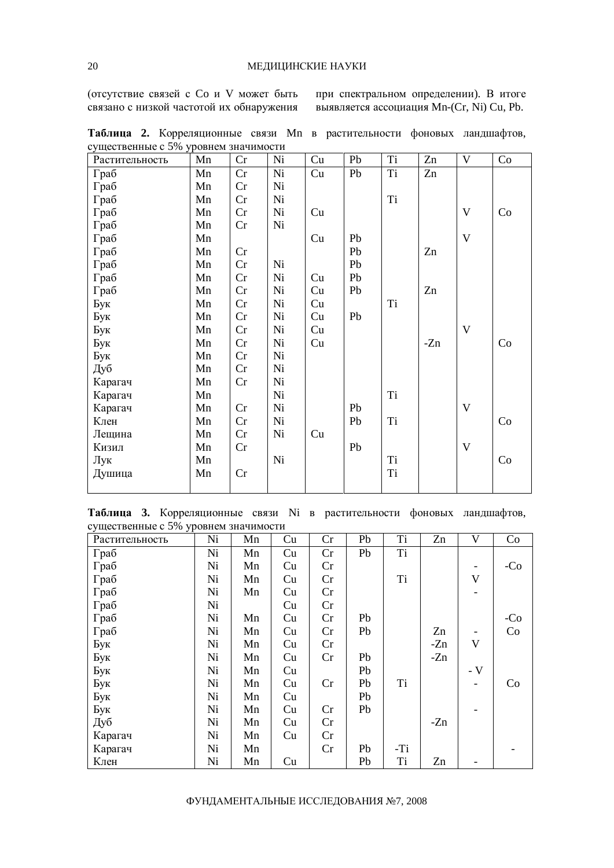(отсутствие связей с Со и V может быть связано с низкой частотой их обнаружения при спектральном определении). В итоге **выявляется ассоциация Mn-(Cr, Ni) Cu, Pb.** 

| $\epsilon$ , $\mu$ and $\epsilon$ is the state of $\epsilon$ is the state of $\epsilon$ in $\mu$<br>Растительность | Mn | Cr | Ni | Cu | Pb | Ti | Zn    | $\mathbf V$ | Co |
|--------------------------------------------------------------------------------------------------------------------|----|----|----|----|----|----|-------|-------------|----|
| Граб                                                                                                               | Mn | Cr | Ni | Cu | Pb | Ti | Zn    |             |    |
| Граб                                                                                                               | Mn | Cr | Ni |    |    |    |       |             |    |
| Граб                                                                                                               | Mn | Cr | Ni |    |    | Ti |       |             |    |
| Граб                                                                                                               | Mn | Cr | Ni | Cu |    |    |       | $\mathbf V$ | Co |
| Граб                                                                                                               | Mn | Cr | Ni |    |    |    |       |             |    |
| Граб                                                                                                               | Mn |    |    | Cu | Pb |    |       | $\mathbf V$ |    |
| Граб                                                                                                               | Mn | Cr |    |    | Pb |    | Zn    |             |    |
| Граб                                                                                                               | Mn | Cr | Ni |    | Pb |    |       |             |    |
| Граб                                                                                                               | Mn | Cr | Ni | Cu | Pb |    |       |             |    |
| Граб                                                                                                               | Mn | Cr | Ni | Cu | Pb |    | Zn    |             |    |
| Бук                                                                                                                | Mn | Cr | Ni | Cu |    | Ti |       |             |    |
| Бук                                                                                                                | Mn | Cr | Ni | Cu | Pb |    |       |             |    |
| Бук                                                                                                                | Mn | Cr | Ni | Cu |    |    |       | $\mathbf V$ |    |
| Бук                                                                                                                | Mn | Cr | Ni | Cu |    |    | $-Zn$ |             | Co |
| Бук                                                                                                                | Mn | Cr | Ni |    |    |    |       |             |    |
| Дуб                                                                                                                | Mn | Cr | Ni |    |    |    |       |             |    |
| Карагач                                                                                                            | Mn | Cr | Ni |    |    |    |       |             |    |
| Карагач                                                                                                            | Mn |    | Ni |    |    | Ti |       |             |    |
| Карагач                                                                                                            | Mn | Cr | Ni |    | Pb |    |       | V           |    |
| Клен                                                                                                               | Mn | Cr | Ni |    | Pb | Ti |       |             | Co |
| Лещина                                                                                                             | Mn | Cr | Ni | Cu |    |    |       |             |    |
| Кизил                                                                                                              | Mn | Cr |    |    | Pb |    |       | $\mathbf V$ |    |
| Лук                                                                                                                | Mn |    | Ni |    |    | Ti |       |             | Co |
| Душица                                                                                                             | Mn | Cr |    |    |    | Ti |       |             |    |
|                                                                                                                    |    |    |    |    |    |    |       |             |    |

Таблица 2. Корреляционные связи Mn в растительности фоновых ландшафтов, существенные с  $5\%$  уровнем значимости

Таблица 3. Корреляционные связи Ni в растительности фоновых ландшафтов, существенные с 5% уровнем значимости

| Растительность | Ni | Mn | Cu | Cr | Pb | Ti  | Zn    | V           | Co    |
|----------------|----|----|----|----|----|-----|-------|-------------|-------|
| Граб           | Ni | Mn | Cu | Cr | Pb | Ti  |       |             |       |
| Граб           | Ni | Mn | Cu | Cr |    |     |       | Ξ.          | $-C0$ |
| Граб           | Ni | Mn | Cu | Cr |    | Ti  |       | $\mathbf V$ |       |
| Граб           | Ni | Mn | Cu | Cr |    |     |       |             |       |
| Граб           | Ni |    | Cu | Cr |    |     |       |             |       |
| Граб           | Ni | Mn | Cu | Cr | Pb |     |       |             | $-C0$ |
| Граб           | Ni | Mn | Cu | Cr | Pb |     | Zn    |             | Co    |
| Бук            | Ni | Mn | Cu | Cr |    |     | $-Zn$ | $\mathbf V$ |       |
| Бук            | Ni | Mn | Cu | Cr | Pb |     | $-Zn$ |             |       |
| Бук            | Ni | Mn | Cu |    | Pb |     |       | - $V$       |       |
| Бук            | Ni | Mn | Cu | Cr | Pb | Ti  |       |             | Co    |
| Бук            | Ni | Mn | Cu |    | Pb |     |       |             |       |
| Бук            | Ni | Mn | Cu | Cr | Pb |     |       |             |       |
| Дуб            | Ni | Mn | Cu | Cr |    |     | $-Zn$ |             |       |
| Карагач        | Ni | Mn | Cu | Cr |    |     |       |             |       |
| Карагач        | Ni | Mn |    | Cr | Pb | -Ti |       |             |       |
| Клен           | Ni | Mn | Cu |    | Pb | Ti  | Zn    |             |       |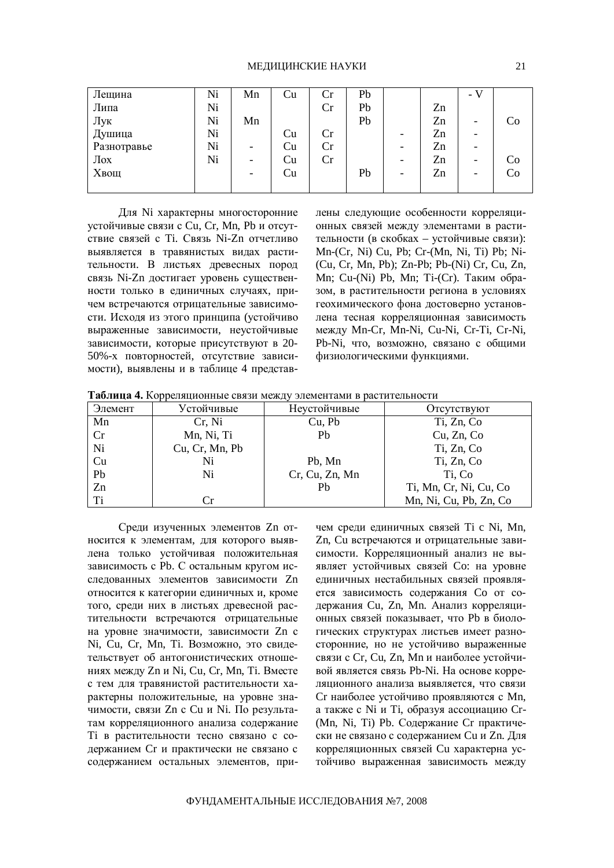| Лещина      | Ni | Mn                       | Cu | Cr | Pb |   |    | $\overline{\phantom{0}}$ - V |    |
|-------------|----|--------------------------|----|----|----|---|----|------------------------------|----|
| Липа        | Ni |                          |    | Cr | Pb |   | Zn |                              |    |
| Лук         | Ni | Mn                       |    |    | Pb |   | Zn | $\overline{\phantom{0}}$     | Co |
| Душица      | Ni |                          | Cu | Cr |    | - | Zn | $\overline{\phantom{0}}$     |    |
| Разнотравье | Ni | $\overline{\phantom{0}}$ | Cu | Cr |    | - | Zn | -                            |    |
| $\sqrt{a}$  | Ni | $\overline{\phantom{0}}$ | Cu | Cr |    | - | Zn | $\overline{\phantom{0}}$     | Co |
| Хвощ        |    |                          | Cu |    | Pb | - | Zn | $\overline{\phantom{0}}$     | Co |
|             |    |                          |    |    |    |   |    |                              |    |

Для Ni характерны многосторонние устойчивые связи с Cu, Cr, Mn, Pb и отсутствие связей с Ti. Связь Ni-Zn отчетливо выявляется в травянистых видах растительности. В листьях древесных пород связь Ni-Zn достигает уровень существенности только в единичных случаях, причем встречаются отрицательные зависимости. Исходя из этого принципа (устойчиво выраженные зависимости, неустойчивые зависимости, которые присутствуют в 20-50%-х повторностей, отсутствие зависимости), выявлены и в таблице 4 представлены следующие особенности корреляционных связей между элементами в растительности (в скобках – устойчивые связи): Mn-(Cr, Ni) Cu, Pb; Cr-(Mn, Ni, Ti) Pb; Ni- (Cu, Cr, Mn, Pb); Zn-Pb; Pb-(Ni) Cr, Cu, Zn, Mn; Cu-(Ni) Pb, Mn; Ti-(Cr). Таким образом, в растительности региона в условиях геохимического фона достоверно установлена тесная корреляционная зависимость ɦɟɠɞɭ Mn-Cr, Mn-Ni, Cu-Ni, Cr-Ti, Cr-Ni, Pb-Ni, что, возможно, связано с общими физиологическими функциями.

Таблица 4. Корреляционные связи между элементами в растительности

| Элемент | Устойчивые     | Неустойчивые   | Отсутствуют            |
|---------|----------------|----------------|------------------------|
| Mn      | Cr, Ni         | Cu, Pb         | Ti, Zn, Co             |
| Cr      | Mn, Ni, Ti     | Pb             | Cu, Zn, Co             |
| Ni      | Cu, Cr, Mn, Pb |                | Ti, Zn, Co             |
| Cu      | Ni             | Pb, Mn         | Ti, Zn, Co             |
| Pb      | Ni             | Cr, Cu, Zn, Mn | Ti, Co                 |
| Zn      |                | Pb             | Ti, Mn, Cr, Ni, Cu, Co |
| Ti      | Cr.            |                | Mn, Ni, Cu, Pb, Zn, Co |

Среди изученных элементов Zn относится к элементам, для которого выявлена только устойчивая положительная зависимость с Pb. С остальным кругом исследованных элементов зависимости Zn относится к категории единичных и, кроме того, среди них в листьях древесной растительности встречаются отрицательные на уровне значимости, зависимости Zn с Ni, Cu, Cr, Mn, Ti. Возможно, это свидетельствует об антогонистических отношениях между Zn и Ni, Cu, Cr, Mn, Ti. Вместе с тем для травянистой растительности характерны положительные, на уровне значимости, связи Zn с Cu и Ni. По результатам корреляционного анализа содержание Ті в растительности тесно связано с содержанием Ст и практически не связано с содержанием остальных элементов, причем среди единичных связей Ti с Ni, Mn, Zn, Cu встречаются и отрицательные зависимости. Корреляционный анализ не выявляет устойчивых связей Со: на уровне единичных нестабильных связей проявляется зависимость содержания Со от содержания Cu, Zn, Mn. Анализ корреляционных связей показывает, что Pb в биологических структурах листьев имеет разносторонние, но не устойчиво выраженные связи с Cr, Cu, Zn, Мn и наиболее устойчивой является связь Pb-Ni. На основе корреляционного анализа выявляется, что связи Ст наиболее устойчиво проявляются с Mn, а также с Ni и Ti, образуя ассоциацию Cr-(Mn, Ni, Ti) Pb. Содержание Ст практически не связано с содержанием Cu и Zn. Для корреляционных связей Си характерна устойчиво выраженная зависимость между